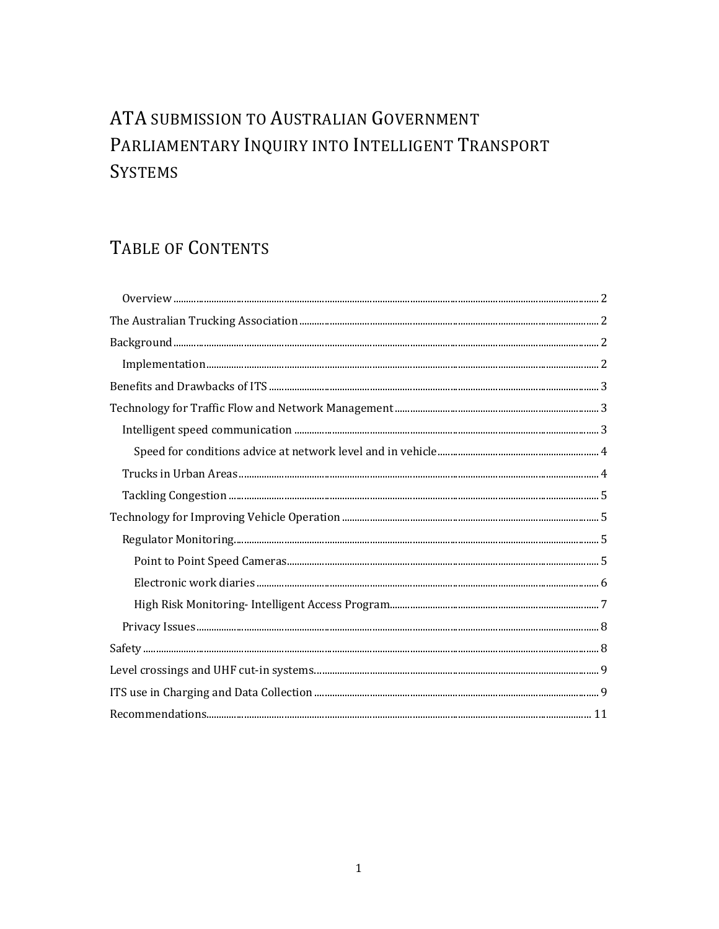# ATA SUBMISSION TO AUSTRALIAN GOVERNMENT PARLIAMENTARY INQUIRY INTO INTELLIGENT TRANSPORT **SYSTEMS**

## TABLE OF CONTENTS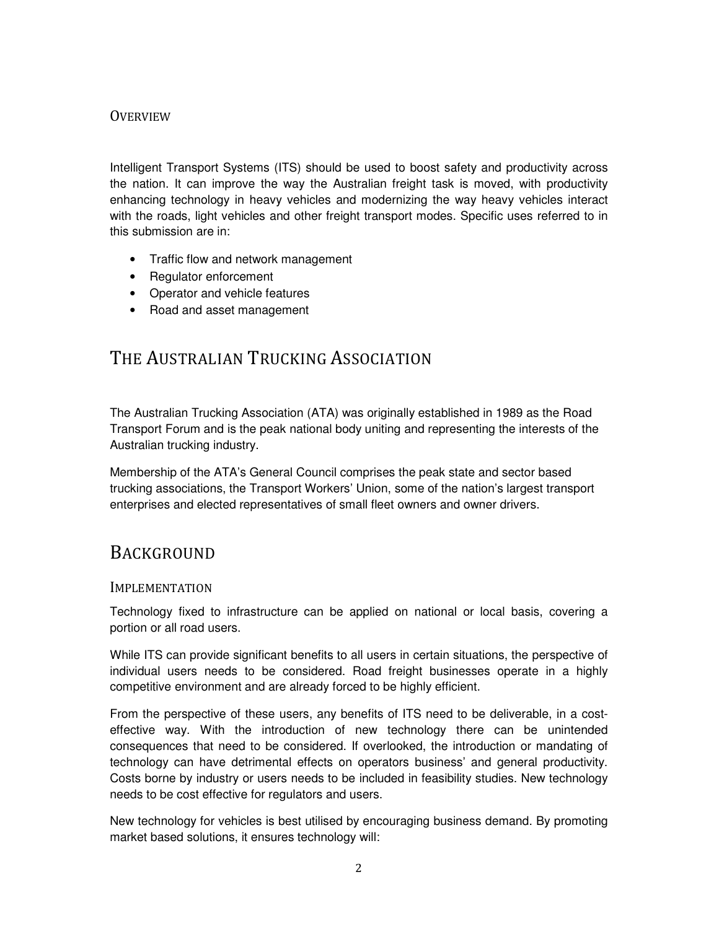### **OVERVIEW**

Intelligent Transport Systems (ITS) should be used to boost safety and productivity across the nation. It can improve the way the Australian freight task is moved, with productivity enhancing technology in heavy vehicles and modernizing the way heavy vehicles interact with the roads, light vehicles and other freight transport modes. Specific uses referred to in this submission are in:

- Traffic flow and network management
- Regulator enforcement
- Operator and vehicle features
- Road and asset management

### THE AUSTRALIAN TRUCKING ASSOCIATION

The Australian Trucking Association (ATA) was originally established in 1989 as the Road Transport Forum and is the peak national body uniting and representing the interests of the Australian trucking industry.

Membership of the ATA's General Council comprises the peak state and sector based trucking associations, the Transport Workers' Union, some of the nation's largest transport enterprises and elected representatives of small fleet owners and owner drivers.

### **BACKGROUND**

#### IMPLEMENTATION

Technology fixed to infrastructure can be applied on national or local basis, covering a portion or all road users.

While ITS can provide significant benefits to all users in certain situations, the perspective of individual users needs to be considered. Road freight businesses operate in a highly competitive environment and are already forced to be highly efficient.

From the perspective of these users, any benefits of ITS need to be deliverable, in a costeffective way. With the introduction of new technology there can be unintended consequences that need to be considered. If overlooked, the introduction or mandating of technology can have detrimental effects on operators business' and general productivity. Costs borne by industry or users needs to be included in feasibility studies. New technology needs to be cost effective for regulators and users.

New technology for vehicles is best utilised by encouraging business demand. By promoting market based solutions, it ensures technology will: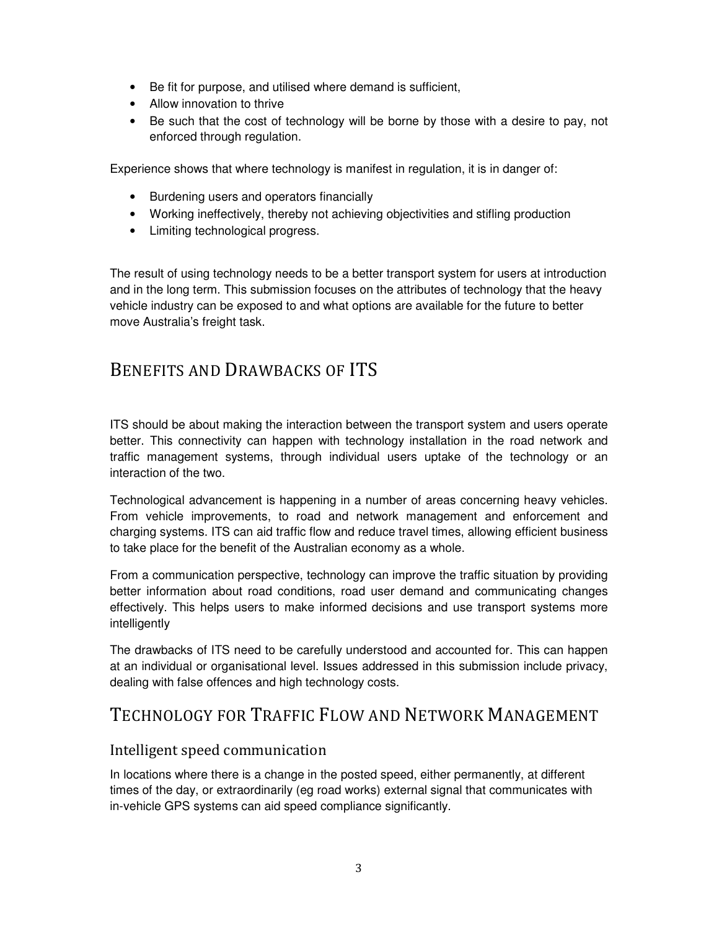- Be fit for purpose, and utilised where demand is sufficient,
- Allow innovation to thrive
- Be such that the cost of technology will be borne by those with a desire to pay, not enforced through regulation.

Experience shows that where technology is manifest in regulation, it is in danger of:

- Burdening users and operators financially
- Working ineffectively, thereby not achieving objectivities and stifling production
- Limiting technological progress.

The result of using technology needs to be a better transport system for users at introduction and in the long term. This submission focuses on the attributes of technology that the heavy vehicle industry can be exposed to and what options are available for the future to better move Australia's freight task.

### BENEFITS AND DRAWBACKS OF ITS

ITS should be about making the interaction between the transport system and users operate better. This connectivity can happen with technology installation in the road network and traffic management systems, through individual users uptake of the technology or an interaction of the two.

Technological advancement is happening in a number of areas concerning heavy vehicles. From vehicle improvements, to road and network management and enforcement and charging systems. ITS can aid traffic flow and reduce travel times, allowing efficient business to take place for the benefit of the Australian economy as a whole.

From a communication perspective, technology can improve the traffic situation by providing better information about road conditions, road user demand and communicating changes effectively. This helps users to make informed decisions and use transport systems more intelligently

The drawbacks of ITS need to be carefully understood and accounted for. This can happen at an individual or organisational level. Issues addressed in this submission include privacy, dealing with false offences and high technology costs.

### TECHNOLOGY FOR TRAFFIC FLOW AND NETWORK MANAGEMENT

### Intelligent speed communication

In locations where there is a change in the posted speed, either permanently, at different times of the day, or extraordinarily (eg road works) external signal that communicates with in-vehicle GPS systems can aid speed compliance significantly.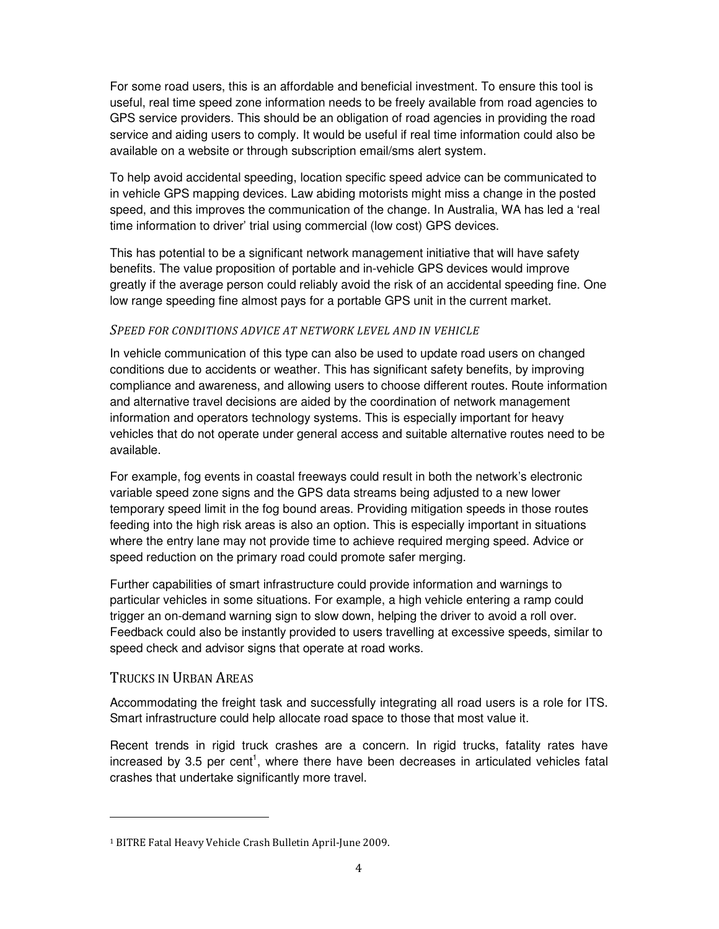For some road users, this is an affordable and beneficial investment. To ensure this tool is useful, real time speed zone information needs to be freely available from road agencies to GPS service providers. This should be an obligation of road agencies in providing the road service and aiding users to comply. It would be useful if real time information could also be available on a website or through subscription email/sms alert system.

To help avoid accidental speeding, location specific speed advice can be communicated to in vehicle GPS mapping devices. Law abiding motorists might miss a change in the posted speed, and this improves the communication of the change. In Australia, WA has led a 'real time information to driver' trial using commercial (low cost) GPS devices.

This has potential to be a significant network management initiative that will have safety benefits. The value proposition of portable and in-vehicle GPS devices would improve greatly if the average person could reliably avoid the risk of an accidental speeding fine. One low range speeding fine almost pays for a portable GPS unit in the current market.

#### SPEED FOR CONDITIONS ADVICE AT NETWORK LEVEL AND IN VEHICLE

In vehicle communication of this type can also be used to update road users on changed conditions due to accidents or weather. This has significant safety benefits, by improving compliance and awareness, and allowing users to choose different routes. Route information and alternative travel decisions are aided by the coordination of network management information and operators technology systems. This is especially important for heavy vehicles that do not operate under general access and suitable alternative routes need to be available.

For example, fog events in coastal freeways could result in both the network's electronic variable speed zone signs and the GPS data streams being adjusted to a new lower temporary speed limit in the fog bound areas. Providing mitigation speeds in those routes feeding into the high risk areas is also an option. This is especially important in situations where the entry lane may not provide time to achieve required merging speed. Advice or speed reduction on the primary road could promote safer merging.

Further capabilities of smart infrastructure could provide information and warnings to particular vehicles in some situations. For example, a high vehicle entering a ramp could trigger an on-demand warning sign to slow down, helping the driver to avoid a roll over. Feedback could also be instantly provided to users travelling at excessive speeds, similar to speed check and advisor signs that operate at road works.

#### TRUCKS IN URBAN AREAS

**.** 

Accommodating the freight task and successfully integrating all road users is a role for ITS. Smart infrastructure could help allocate road space to those that most value it.

Recent trends in rigid truck crashes are a concern. In rigid trucks, fatality rates have increased by 3.5 per cent<sup>1</sup>, where there have been decreases in articulated vehicles fatal crashes that undertake significantly more travel.

<sup>1</sup> BITRE Fatal Heavy Vehicle Crash Bulletin April-June 2009.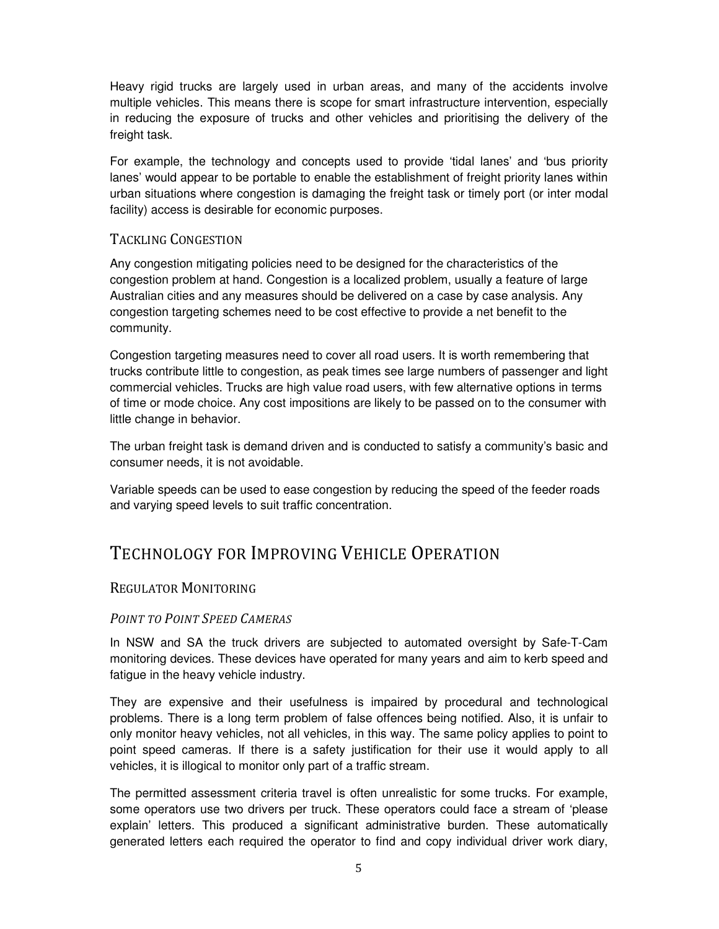Heavy rigid trucks are largely used in urban areas, and many of the accidents involve multiple vehicles. This means there is scope for smart infrastructure intervention, especially in reducing the exposure of trucks and other vehicles and prioritising the delivery of the freight task.

For example, the technology and concepts used to provide 'tidal lanes' and 'bus priority lanes' would appear to be portable to enable the establishment of freight priority lanes within urban situations where congestion is damaging the freight task or timely port (or inter modal facility) access is desirable for economic purposes.

#### TACKLING CONGESTION

Any congestion mitigating policies need to be designed for the characteristics of the congestion problem at hand. Congestion is a localized problem, usually a feature of large Australian cities and any measures should be delivered on a case by case analysis. Any congestion targeting schemes need to be cost effective to provide a net benefit to the community.

Congestion targeting measures need to cover all road users. It is worth remembering that trucks contribute little to congestion, as peak times see large numbers of passenger and light commercial vehicles. Trucks are high value road users, with few alternative options in terms of time or mode choice. Any cost impositions are likely to be passed on to the consumer with little change in behavior.

The urban freight task is demand driven and is conducted to satisfy a community's basic and consumer needs, it is not avoidable.

Variable speeds can be used to ease congestion by reducing the speed of the feeder roads and varying speed levels to suit traffic concentration.

### TECHNOLOGY FOR IMPROVING VEHICLE OPERATION

#### REGULATOR MONITORING

#### POINT TO POINT SPEED CAMERAS

In NSW and SA the truck drivers are subjected to automated oversight by Safe-T-Cam monitoring devices. These devices have operated for many years and aim to kerb speed and fatigue in the heavy vehicle industry.

They are expensive and their usefulness is impaired by procedural and technological problems. There is a long term problem of false offences being notified. Also, it is unfair to only monitor heavy vehicles, not all vehicles, in this way. The same policy applies to point to point speed cameras. If there is a safety justification for their use it would apply to all vehicles, it is illogical to monitor only part of a traffic stream.

The permitted assessment criteria travel is often unrealistic for some trucks. For example, some operators use two drivers per truck. These operators could face a stream of 'please explain' letters. This produced a significant administrative burden. These automatically generated letters each required the operator to find and copy individual driver work diary,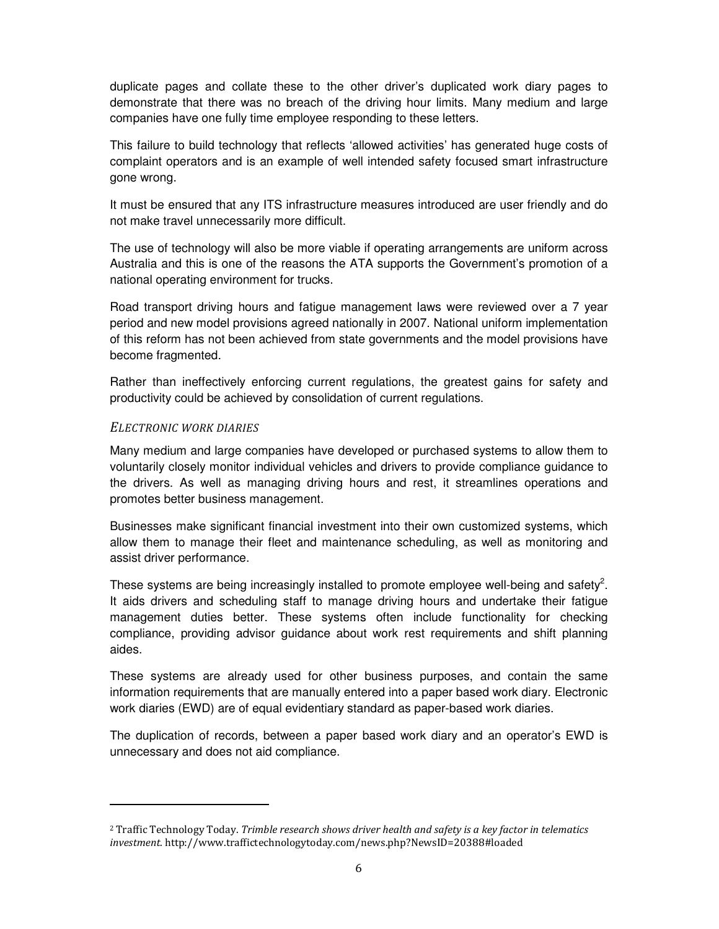duplicate pages and collate these to the other driver's duplicated work diary pages to demonstrate that there was no breach of the driving hour limits. Many medium and large companies have one fully time employee responding to these letters.

This failure to build technology that reflects 'allowed activities' has generated huge costs of complaint operators and is an example of well intended safety focused smart infrastructure gone wrong.

It must be ensured that any ITS infrastructure measures introduced are user friendly and do not make travel unnecessarily more difficult.

The use of technology will also be more viable if operating arrangements are uniform across Australia and this is one of the reasons the ATA supports the Government's promotion of a national operating environment for trucks.

Road transport driving hours and fatigue management laws were reviewed over a 7 year period and new model provisions agreed nationally in 2007. National uniform implementation of this reform has not been achieved from state governments and the model provisions have become fragmented.

Rather than ineffectively enforcing current regulations, the greatest gains for safety and productivity could be achieved by consolidation of current regulations.

#### ELECTRONIC WORK DIARIES

**.** 

Many medium and large companies have developed or purchased systems to allow them to voluntarily closely monitor individual vehicles and drivers to provide compliance guidance to the drivers. As well as managing driving hours and rest, it streamlines operations and promotes better business management.

Businesses make significant financial investment into their own customized systems, which allow them to manage their fleet and maintenance scheduling, as well as monitoring and assist driver performance.

These systems are being increasingly installed to promote employee well-being and safety<sup>2</sup>. It aids drivers and scheduling staff to manage driving hours and undertake their fatigue management duties better. These systems often include functionality for checking compliance, providing advisor guidance about work rest requirements and shift planning aides.

These systems are already used for other business purposes, and contain the same information requirements that are manually entered into a paper based work diary. Electronic work diaries (EWD) are of equal evidentiary standard as paper-based work diaries.

The duplication of records, between a paper based work diary and an operator's EWD is unnecessary and does not aid compliance.

<sup>&</sup>lt;sup>2</sup> Traffic Technology Today. Trimble research shows driver health and safety is a key factor in telematics investment. http://www.traffictechnologytoday.com/news.php?NewsID=20388#loaded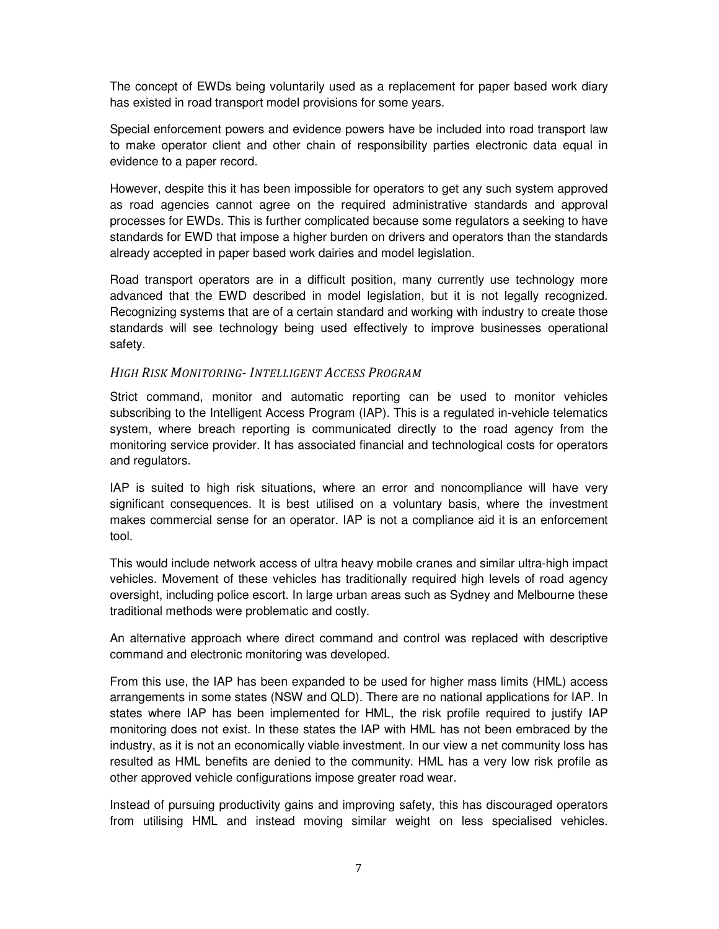The concept of EWDs being voluntarily used as a replacement for paper based work diary has existed in road transport model provisions for some years.

Special enforcement powers and evidence powers have be included into road transport law to make operator client and other chain of responsibility parties electronic data equal in evidence to a paper record.

However, despite this it has been impossible for operators to get any such system approved as road agencies cannot agree on the required administrative standards and approval processes for EWDs. This is further complicated because some regulators a seeking to have standards for EWD that impose a higher burden on drivers and operators than the standards already accepted in paper based work dairies and model legislation.

Road transport operators are in a difficult position, many currently use technology more advanced that the EWD described in model legislation, but it is not legally recognized. Recognizing systems that are of a certain standard and working with industry to create those standards will see technology being used effectively to improve businesses operational safety.

#### HIGH RISK MONITORING- INTELLIGENT ACCESS PROGRAM

Strict command, monitor and automatic reporting can be used to monitor vehicles subscribing to the Intelligent Access Program (IAP). This is a regulated in-vehicle telematics system, where breach reporting is communicated directly to the road agency from the monitoring service provider. It has associated financial and technological costs for operators and regulators.

IAP is suited to high risk situations, where an error and noncompliance will have very significant consequences. It is best utilised on a voluntary basis, where the investment makes commercial sense for an operator. IAP is not a compliance aid it is an enforcement tool.

This would include network access of ultra heavy mobile cranes and similar ultra-high impact vehicles. Movement of these vehicles has traditionally required high levels of road agency oversight, including police escort. In large urban areas such as Sydney and Melbourne these traditional methods were problematic and costly.

An alternative approach where direct command and control was replaced with descriptive command and electronic monitoring was developed.

From this use, the IAP has been expanded to be used for higher mass limits (HML) access arrangements in some states (NSW and QLD). There are no national applications for IAP. In states where IAP has been implemented for HML, the risk profile required to justify IAP monitoring does not exist. In these states the IAP with HML has not been embraced by the industry, as it is not an economically viable investment. In our view a net community loss has resulted as HML benefits are denied to the community. HML has a very low risk profile as other approved vehicle configurations impose greater road wear.

Instead of pursuing productivity gains and improving safety, this has discouraged operators from utilising HML and instead moving similar weight on less specialised vehicles.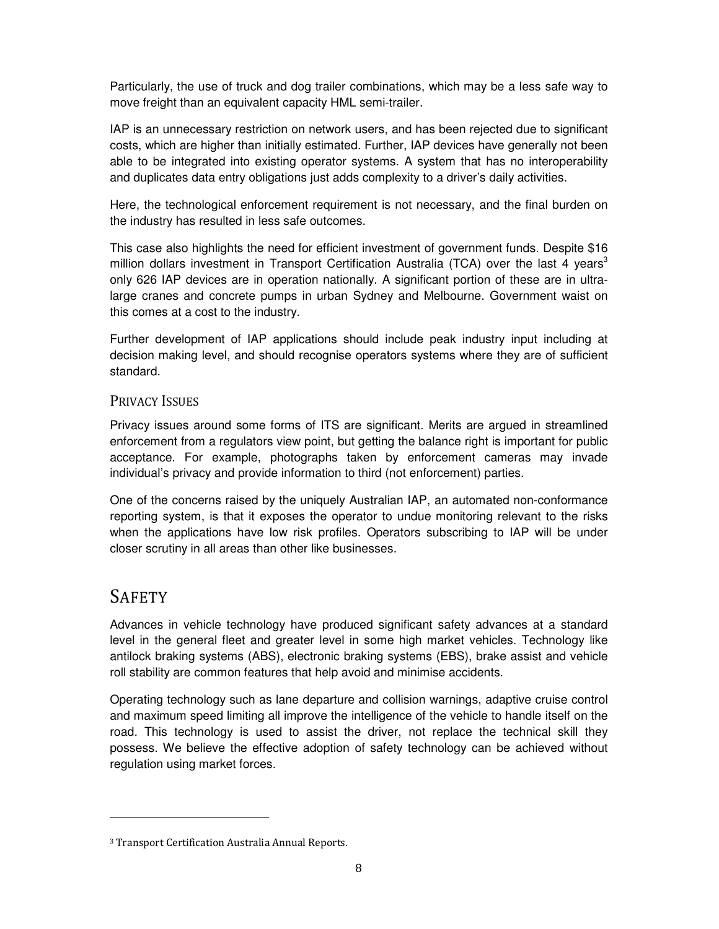Particularly, the use of truck and dog trailer combinations, which may be a less safe way to move freight than an equivalent capacity HML semi-trailer.

IAP is an unnecessary restriction on network users, and has been rejected due to significant costs, which are higher than initially estimated. Further, IAP devices have generally not been able to be integrated into existing operator systems. A system that has no interoperability and duplicates data entry obligations just adds complexity to a driver's daily activities.

Here, the technological enforcement requirement is not necessary, and the final burden on the industry has resulted in less safe outcomes.

This case also highlights the need for efficient investment of government funds. Despite \$16 million dollars investment in Transport Certification Australia (TCA) over the last 4 years<sup>3</sup> only 626 IAP devices are in operation nationally. A significant portion of these are in ultralarge cranes and concrete pumps in urban Sydney and Melbourne. Government waist on this comes at a cost to the industry.

Further development of IAP applications should include peak industry input including at decision making level, and should recognise operators systems where they are of sufficient standard.

### PRIVACY ISSUES

Privacy issues around some forms of ITS are significant. Merits are argued in streamlined enforcement from a regulators view point, but getting the balance right is important for public acceptance. For example, photographs taken by enforcement cameras may invade individual's privacy and provide information to third (not enforcement) parties.

One of the concerns raised by the uniquely Australian IAP, an automated non-conformance reporting system, is that it exposes the operator to undue monitoring relevant to the risks when the applications have low risk profiles. Operators subscribing to IAP will be under closer scrutiny in all areas than other like businesses.

### **SAFETY**

**.** 

Advances in vehicle technology have produced significant safety advances at a standard level in the general fleet and greater level in some high market vehicles. Technology like antilock braking systems (ABS), electronic braking systems (EBS), brake assist and vehicle roll stability are common features that help avoid and minimise accidents.

Operating technology such as lane departure and collision warnings, adaptive cruise control and maximum speed limiting all improve the intelligence of the vehicle to handle itself on the road. This technology is used to assist the driver, not replace the technical skill they possess. We believe the effective adoption of safety technology can be achieved without regulation using market forces.

<sup>3</sup> Transport Certification Australia Annual Reports.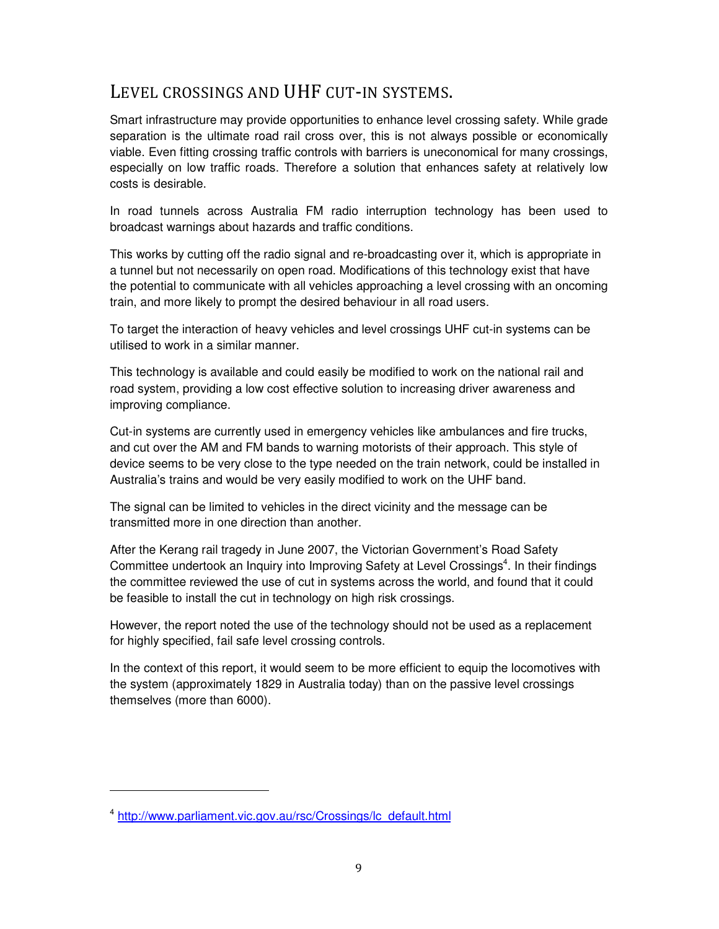### LEVEL CROSSINGS AND UHF CUT-IN SYSTEMS.

Smart infrastructure may provide opportunities to enhance level crossing safety. While grade separation is the ultimate road rail cross over, this is not always possible or economically viable. Even fitting crossing traffic controls with barriers is uneconomical for many crossings, especially on low traffic roads. Therefore a solution that enhances safety at relatively low costs is desirable.

In road tunnels across Australia FM radio interruption technology has been used to broadcast warnings about hazards and traffic conditions.

This works by cutting off the radio signal and re-broadcasting over it, which is appropriate in a tunnel but not necessarily on open road. Modifications of this technology exist that have the potential to communicate with all vehicles approaching a level crossing with an oncoming train, and more likely to prompt the desired behaviour in all road users.

To target the interaction of heavy vehicles and level crossings UHF cut-in systems can be utilised to work in a similar manner.

This technology is available and could easily be modified to work on the national rail and road system, providing a low cost effective solution to increasing driver awareness and improving compliance.

Cut-in systems are currently used in emergency vehicles like ambulances and fire trucks, and cut over the AM and FM bands to warning motorists of their approach. This style of device seems to be very close to the type needed on the train network, could be installed in Australia's trains and would be very easily modified to work on the UHF band.

The signal can be limited to vehicles in the direct vicinity and the message can be transmitted more in one direction than another.

After the Kerang rail tragedy in June 2007, the Victorian Government's Road Safety Committee undertook an Inquiry into Improving Safety at Level Crossings<sup>4</sup>. In their findings the committee reviewed the use of cut in systems across the world, and found that it could be feasible to install the cut in technology on high risk crossings.

However, the report noted the use of the technology should not be used as a replacement for highly specified, fail safe level crossing controls.

In the context of this report, it would seem to be more efficient to equip the locomotives with the system (approximately 1829 in Australia today) than on the passive level crossings themselves (more than 6000).

 $\overline{a}$ 

<sup>&</sup>lt;sup>4</sup> http://www.parliament.vic.gov.au/rsc/Crossings/lc\_default.html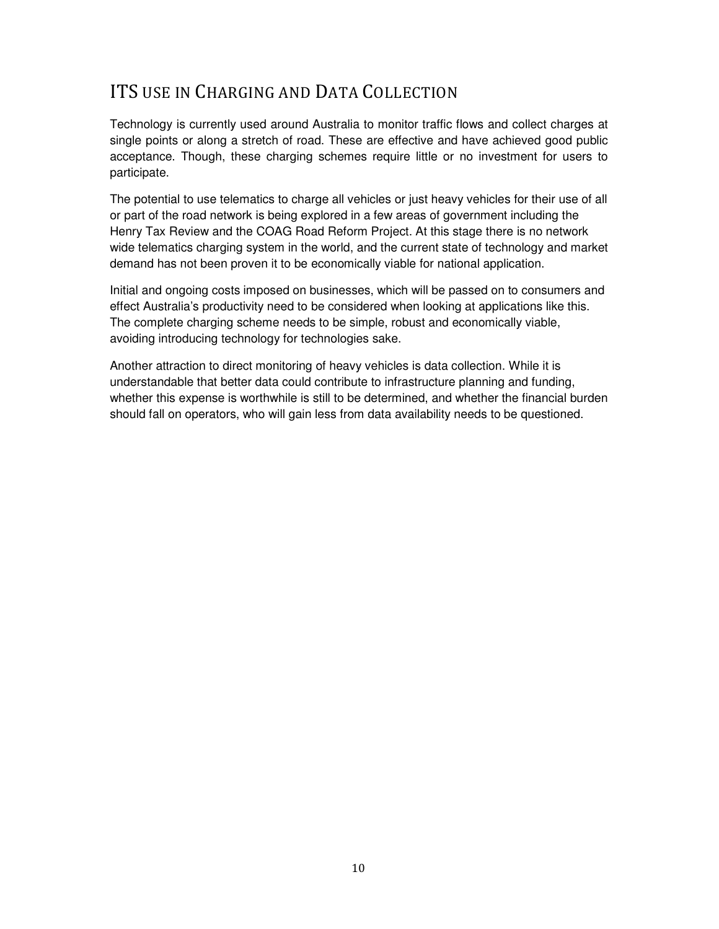## ITS USE IN CHARGING AND DATA COLLECTION

Technology is currently used around Australia to monitor traffic flows and collect charges at single points or along a stretch of road. These are effective and have achieved good public acceptance. Though, these charging schemes require little or no investment for users to participate.

The potential to use telematics to charge all vehicles or just heavy vehicles for their use of all or part of the road network is being explored in a few areas of government including the Henry Tax Review and the COAG Road Reform Project. At this stage there is no network wide telematics charging system in the world, and the current state of technology and market demand has not been proven it to be economically viable for national application.

Initial and ongoing costs imposed on businesses, which will be passed on to consumers and effect Australia's productivity need to be considered when looking at applications like this. The complete charging scheme needs to be simple, robust and economically viable, avoiding introducing technology for technologies sake.

Another attraction to direct monitoring of heavy vehicles is data collection. While it is understandable that better data could contribute to infrastructure planning and funding, whether this expense is worthwhile is still to be determined, and whether the financial burden should fall on operators, who will gain less from data availability needs to be questioned.